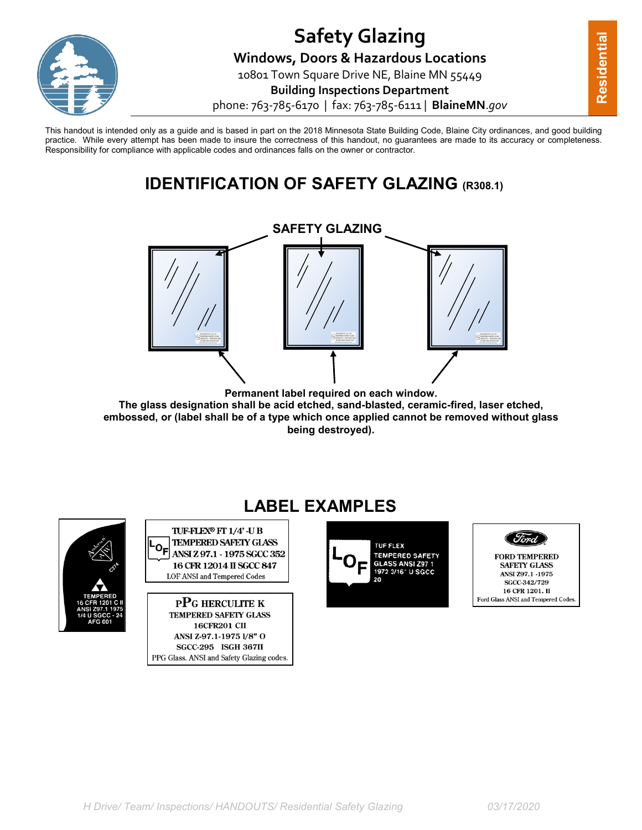

This handout is intended only as a guide and is based in part on the 2018 Minnesota State Building Code, Blaine City ordinances, and good building practice. While every attempt has been made to insure the correctness of this handout, no guarantees are made to its accuracy or completeness. Responsibility for compliance with applicable codes and ordinances falls on the owner or contractor.

# **IDENTIFICATION OF SAFETY GLAZING (R308.1)**



**Permanent label required on each window. The glass designation shall be acid etched, sand-blasted, ceramic-fired, laser etched, embossed, or (label shall be of a type which once applied cannot be removed without glass being destroyed).**



# **LABEL EXAMPLES**



**PPG HERCULITE K TEMPERED SAFETY GLASS 16CFR201 CII** ANSI Z-97.1-1975 1/8" O **SGCC-295 ISGH 367II** PPG Glass. ANSI and Safety Glazing codes.





**SAFETY GLASS** ANSI Z97.1 -1975 SGCC-342/729 16 CFR 1201. II Ford Glass ANSI and Tempered Codes.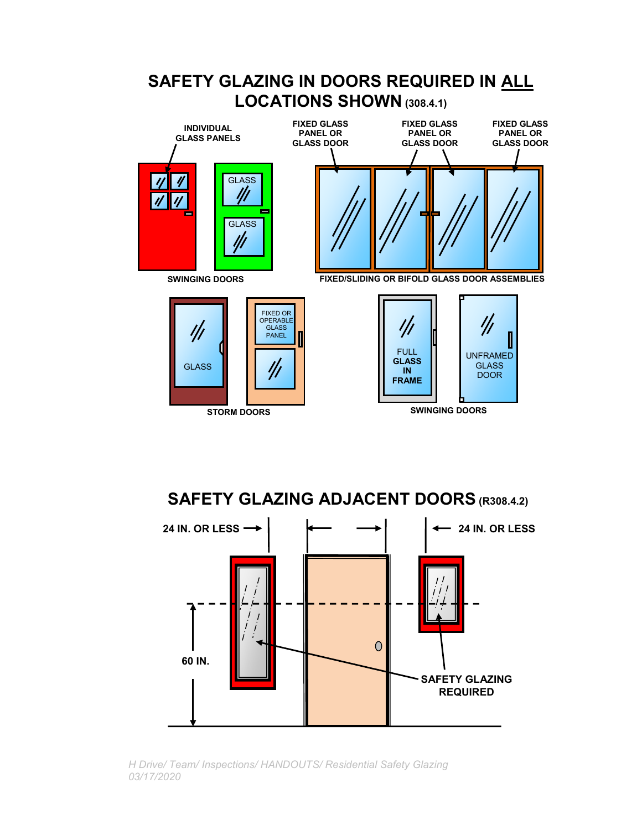

**SAFETY GLAZING ADJACENT DOORS (R308.4.2)**



*H Drive/ Team/ Inspections/ HANDOUTS/ Residential Safety Glazing 03/17/2020*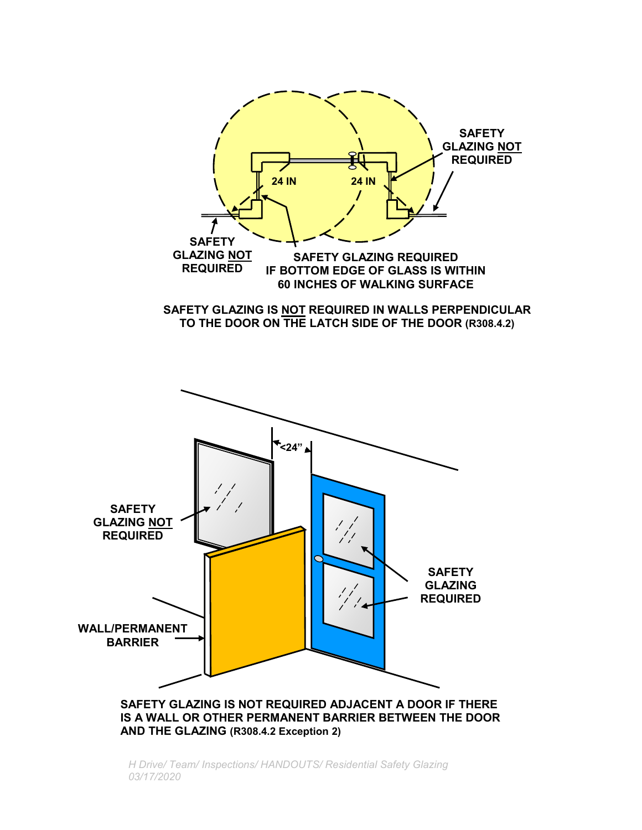

*H Drive/ Team/ Inspections/ HANDOUTS/ Residential Safety Glazing 03/17/2020*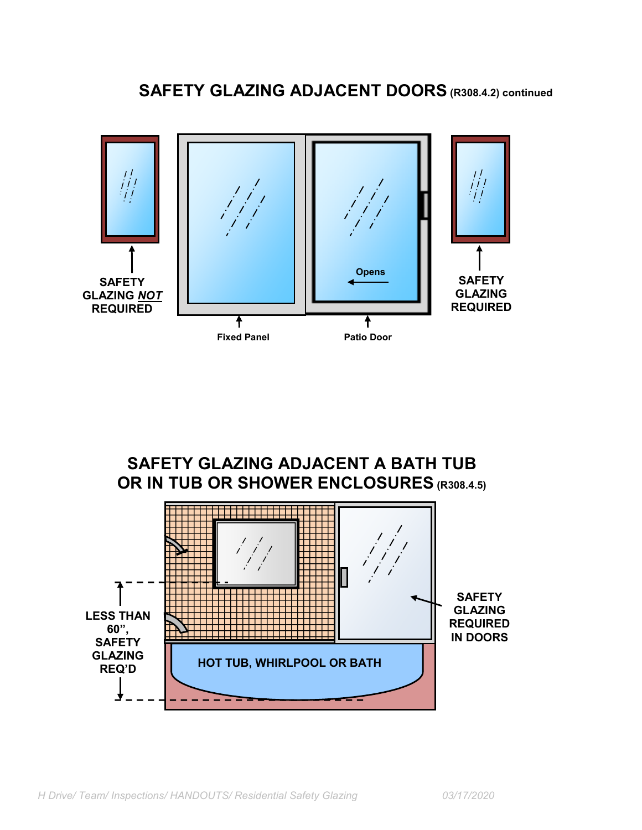



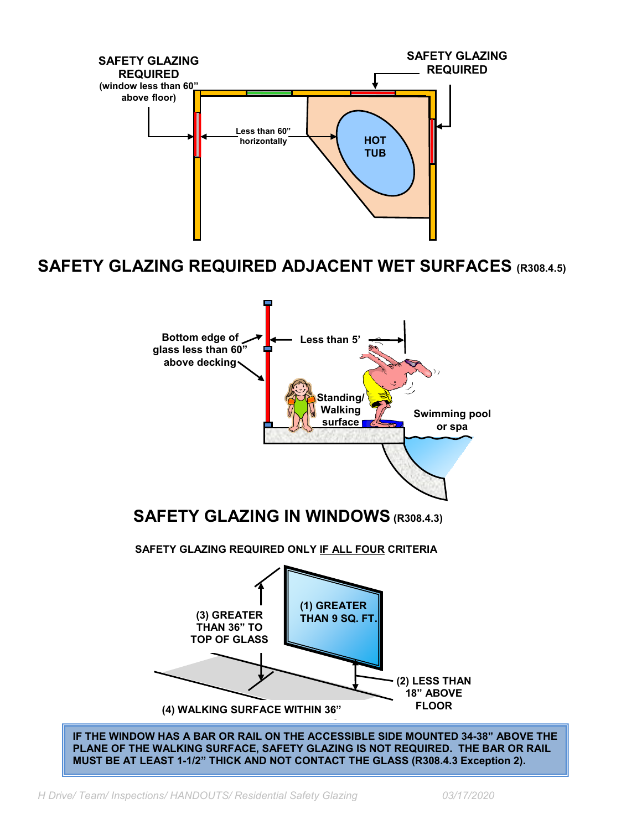

### **SAFETY GLAZING REQUIRED ADJACENT WET SURFACES (R308.4.5)**





**IF THE WINDOW HAS A BAR OR RAIL ON THE ACCESSIBLE SIDE MOUNTED 34-38" ABOVE THE PLANE OF THE WALKING SURFACE, SAFETY GLAZING IS NOT REQUIRED. THE BAR OR RAIL MUST BE AT LEAST 1-1/2" THICK AND NOT CONTACT THE GLASS (R308.4.3 Exception 2).**